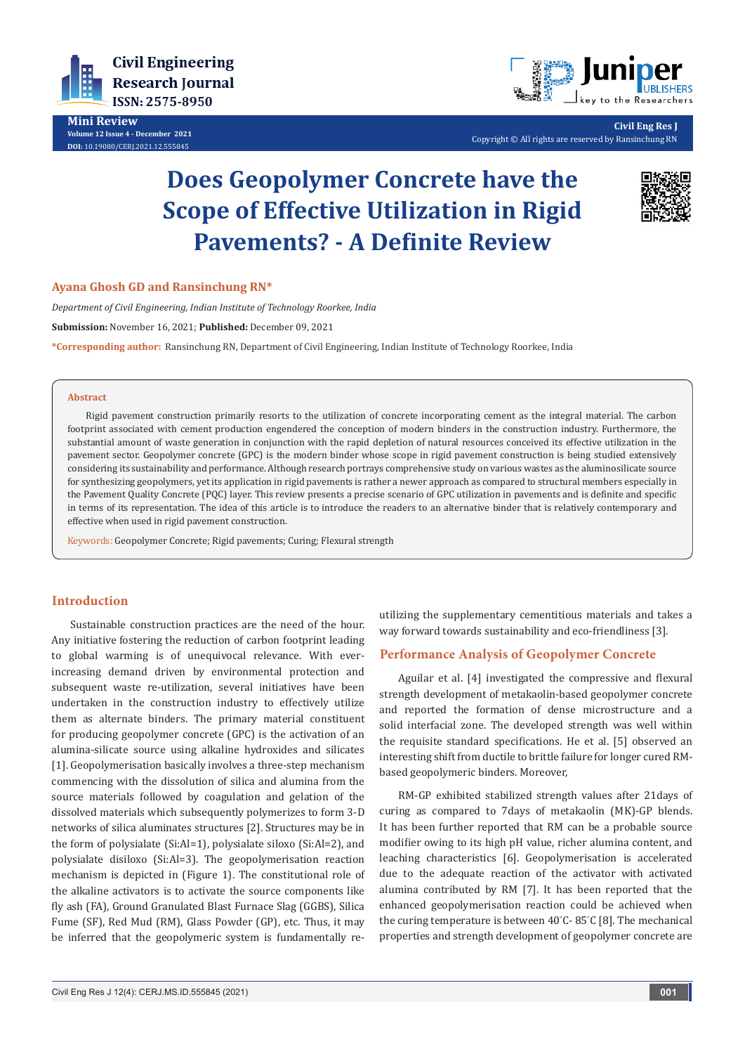

**Mini Review Volume 12 Issue 4 - December 2021 DOI:** [10.19080/CERJ.2021.12.55584](http://dx.doi.org/10.19080/CERJ.2021.12.555845)5



**Civil Eng Res J** Copyright © All rights are reserved by Ransinchung RN

# **Does Geopolymer Concrete have the Scope of Effective Utilization in Rigid Pavements? - A Definite Review**



#### **Ayana Ghosh GD and Ransinchung RN\***

*Department of Civil Engineering, Indian Institute of Technology Roorkee, India*

**Submission:** November 16, 2021; **Published:** December 09, 2021

**\*Corresponding author:** Ransinchung RN, Department of Civil Engineering, Indian Institute of Technology Roorkee, India

#### **Abstract**

Rigid pavement construction primarily resorts to the utilization of concrete incorporating cement as the integral material. The carbon footprint associated with cement production engendered the conception of modern binders in the construction industry. Furthermore, the substantial amount of waste generation in conjunction with the rapid depletion of natural resources conceived its effective utilization in the pavement sector. Geopolymer concrete (GPC) is the modern binder whose scope in rigid pavement construction is being studied extensively considering its sustainability and performance. Although research portrays comprehensive study on various wastes as the aluminosilicate source for synthesizing geopolymers, yet its application in rigid pavements is rather a newer approach as compared to structural members especially in the Pavement Quality Concrete (PQC) layer. This review presents a precise scenario of GPC utilization in pavements and is definite and specific in terms of its representation. The idea of this article is to introduce the readers to an alternative binder that is relatively contemporary and effective when used in rigid pavement construction.

Keywords: Geopolymer Concrete; Rigid pavements; Curing; Flexural strength

## **Introduction**

Sustainable construction practices are the need of the hour. Any initiative fostering the reduction of carbon footprint leading to global warming is of unequivocal relevance. With everincreasing demand driven by environmental protection and subsequent waste re-utilization, several initiatives have been undertaken in the construction industry to effectively utilize them as alternate binders. The primary material constituent for producing geopolymer concrete (GPC) is the activation of an alumina-silicate source using alkaline hydroxides and silicates [1]. Geopolymerisation basically involves a three-step mechanism commencing with the dissolution of silica and alumina from the source materials followed by coagulation and gelation of the dissolved materials which subsequently polymerizes to form 3-D networks of silica aluminates structures [2]. Structures may be in the form of polysialate (Si:Al=1), polysialate siloxo (Si:Al=2), and polysialate disiloxo (Si:Al=3). The geopolymerisation reaction mechanism is depicted in (Figure 1). The constitutional role of the alkaline activators is to activate the source components like fly ash (FA), Ground Granulated Blast Furnace Slag (GGBS), Silica Fume (SF), Red Mud (RM), Glass Powder (GP), etc. Thus, it may be inferred that the geopolymeric system is fundamentally reutilizing the supplementary cementitious materials and takes a way forward towards sustainability and eco-friendliness [3].

## **Performance Analysis of Geopolymer Concrete**

Aguilar et al. [4] investigated the compressive and flexural strength development of metakaolin-based geopolymer concrete and reported the formation of dense microstructure and a solid interfacial zone. The developed strength was well within the requisite standard specifications. He et al. [5] observed an interesting shift from ductile to brittle failure for longer cured RMbased geopolymeric binders. Moreover,

RM-GP exhibited stabilized strength values after 21days of curing as compared to 7days of metakaolin (MK)-GP blends. It has been further reported that RM can be a probable source modifier owing to its high pH value, richer alumina content, and leaching characteristics [6]. Geopolymerisation is accelerated due to the adequate reaction of the activator with activated alumina contributed by RM [7]. It has been reported that the enhanced geopolymerisation reaction could be achieved when the curing temperature is between 40° C- 85° C [8]. The mechanical properties and strength development of geopolymer concrete are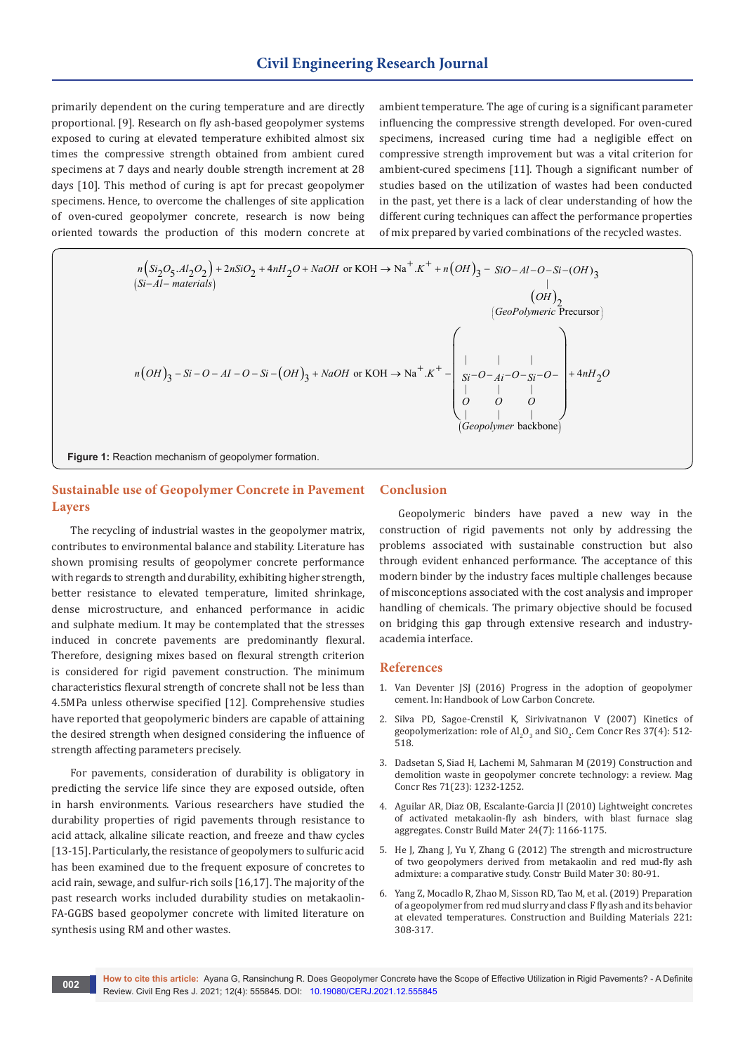## **Civil Engineering Research Journal**

primarily dependent on the curing temperature and are directly proportional. [9]. Research on fly ash-based geopolymer systems exposed to curing at elevated temperature exhibited almost six times the compressive strength obtained from ambient cured specimens at 7 days and nearly double strength increment at 28 days [10]. This method of curing is apt for precast geopolymer specimens. Hence, to overcome the challenges of site application of oven-cured geopolymer concrete, research is now being oriented towards the production of this modern concrete at ambient temperature. The age of curing is a significant parameter influencing the compressive strength developed. For oven-cured specimens, increased curing time had a negligible effect on compressive strength improvement but was a vital criterion for ambient-cured specimens [11]. Though a significant number of studies based on the utilization of wastes had been conducted in the past, yet there is a lack of clear understanding of how the different curing techniques can affect the performance properties of mix prepared by varied combinations of the recycled wastes.

**Figure 1:** Reaction mechanism of geopolymer formation. ( ) ( ) ( ) ( ) ( ) ( ) ( ) . 2 4 or KOH Na . ( ) 2 22 2 2 <sup>5</sup> <sup>3</sup> <sup>3</sup> 2 Precursor ||| or KOH Na . 3 3 ||| ||| backbone *n Si O Al O nSiO nH O NaOH K n OH SiO Al O Si OH Si Al materials OH GeoPolymeric n OH Si O AI O Si OH NaOH K Si Ai Si O O OOO Geopolymer* + + +++ → + − − −−− − − + + −−− −−− + → − −− −−− <sup>4</sup> <sup>2</sup> *<sup>O</sup>*<sup>−</sup> <sup>+</sup> *nH O* 

## **Sustainable use of Geopolymer Concrete in Pavement Layers**

The recycling of industrial wastes in the geopolymer matrix, contributes to environmental balance and stability. Literature has shown promising results of geopolymer concrete performance with regards to strength and durability, exhibiting higher strength, better resistance to elevated temperature, limited shrinkage, dense microstructure, and enhanced performance in acidic and sulphate medium. It may be contemplated that the stresses induced in concrete pavements are predominantly flexural. Therefore, designing mixes based on flexural strength criterion is considered for rigid pavement construction. The minimum characteristics flexural strength of concrete shall not be less than 4.5MPa unless otherwise specified [12]. Comprehensive studies have reported that geopolymeric binders are capable of attaining the desired strength when designed considering the influence of strength affecting parameters precisely.

For pavements, consideration of durability is obligatory in predicting the service life since they are exposed outside, often in harsh environments. Various researchers have studied the durability properties of rigid pavements through resistance to acid attack, alkaline silicate reaction, and freeze and thaw cycles [13-15]. Particularly, the resistance of geopolymers to sulfuric acid has been examined due to the frequent exposure of concretes to acid rain, sewage, and sulfur-rich soils [16,17]. The majority of the past research works included durability studies on metakaolin-FA-GGBS based geopolymer concrete with limited literature on synthesis using RM and other wastes.

## **Conclusion**

Geopolymeric binders have paved a new way in the construction of rigid pavements not only by addressing the problems associated with sustainable construction but also through evident enhanced performance. The acceptance of this modern binder by the industry faces multiple challenges because of misconceptions associated with the cost analysis and improper handling of chemicals. The primary objective should be focused on bridging this gap through extensive research and industryacademia interface.

### **References**

- 1. Van Deventer JSJ (2016) Progress in the adoption of geopolymer cement. In: Handbook of Low Carbon Concrete.
- 2. [Silva PD, Sagoe-Crenstil K, Sirivivatnanon V \(2007\) Kinetics of](https://www.sciencedirect.com/science/article/abs/pii/S0008884607000154)  geopolymerization: role of  $\text{Al}_2\text{O}_3$  and  $\text{SiO}_2$ . Cem Concr Res 37(4): 512-[518.](https://www.sciencedirect.com/science/article/abs/pii/S0008884607000154)
- 3. Dadsetan S, Siad H, Lachemi M, Sahmaran M (2019) Construction and demolition waste in geopolymer concrete technology: a review. Mag Concr Res 71(23): 1232-1252.
- 4. [Aguilar AR, Diaz OB, Escalante-Garcia JI \(2010\) Lightweight concretes](https://www.sciencedirect.com/science/article/abs/pii/S0950061809004358)  [of activated metakaolin-fly ash binders, with blast furnace slag](https://www.sciencedirect.com/science/article/abs/pii/S0950061809004358)  [aggregates. Constr Build Mater 24\(7\): 1166-1175.](https://www.sciencedirect.com/science/article/abs/pii/S0950061809004358)
- 5. He J, Zhang J, Yu Y, Zhang G (2012) The strength and microstructure of two geopolymers derived from metakaolin and red mud-fly ash admixture: a comparative study. Constr Build Mater 30: 80-91.
- 6. Yang Z, Mocadlo R, Zhao M, Sisson RD, Tao M, et al. (2019) Preparation of a geopolymer from red mud slurry and class F fly ash and its behavior at elevated temperatures. Construction and Building Materials 221: 308-317.